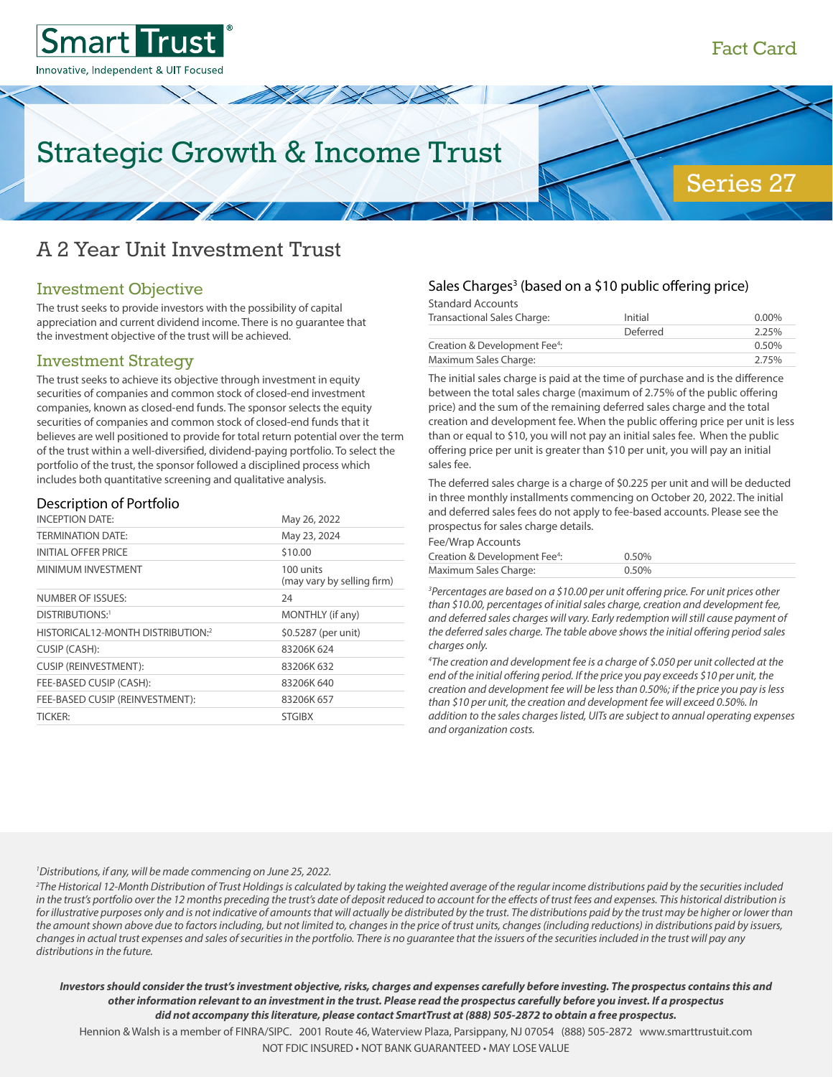Series 27



# Strategic Growth & Income Trust

# A 2 Year Unit Investment Trust

### Investment Objective

The trust seeks to provide investors with the possibility of capital appreciation and current dividend income. There is no guarantee that the investment objective of the trust will be achieved.

### Investment Strategy

The trust seeks to achieve its objective through investment in equity securities of companies and common stock of closed-end investment companies, known as closed-end funds. The sponsor selects the equity securities of companies and common stock of closed-end funds that it believes are well positioned to provide for total return potential over the term of the trust within a well-diversified, dividend-paying portfolio. To select the portfolio of the trust, the sponsor followed a disciplined process which includes both quantitative screening and qualitative analysis.

#### Description of Portfolio

| <b>INCEPTION DATE:</b>            | May 26, 2022                            |
|-----------------------------------|-----------------------------------------|
| <b>TERMINATION DATE:</b>          | May 23, 2024                            |
| <b>INITIAL OFFER PRICE</b>        | \$10.00                                 |
| MINIMUM INVESTMENT                | 100 units<br>(may vary by selling firm) |
| NUMBER OF ISSUES:                 | 24                                      |
| DISTRIBUTIONS:1                   | MONTHLY (if any)                        |
| HISTORICAL12-MONTH DISTRIBUTION:2 | \$0.5287 (per unit)                     |
| CUSIP (CASH):                     | 83206K 624                              |
| <b>CUSIP (REINVESTMENT):</b>      | 83206K 632                              |
| FEE-BASED CUSIP (CASH):           | 83206K 640                              |
| FEE-BASED CUSIP (REINVESTMENT):   | 83206K 657                              |
| <b>TICKER:</b>                    | <b>STGIBX</b>                           |

#### Sales Charges<sup>3</sup> (based on a \$10 public offering price)

Standard Accounts

| Transactional Sales Charge:               | Initial  | $0.00\%$ |
|-------------------------------------------|----------|----------|
|                                           | Deferred | 2.25%    |
| Creation & Development Fee <sup>4</sup> : |          | 0.50%    |
| Maximum Sales Charge:                     |          | 2.75%    |

The initial sales charge is paid at the time of purchase and is the difference between the total sales charge (maximum of 2.75% of the public offering price) and the sum of the remaining deferred sales charge and the total creation and development fee. When the public offering price per unit is less than or equal to \$10, you will not pay an initial sales fee. When the public offering price per unit is greater than \$10 per unit, you will pay an initial sales fee.

The deferred sales charge is a charge of \$0.225 per unit and will be deducted in three monthly installments commencing on October 20, 2022. The initial and deferred sales fees do not apply to fee-based accounts. Please see the prospectus for sales charge details.

| Fee/Wrap Accounts                         |       |
|-------------------------------------------|-------|
| Creation & Development Fee <sup>4</sup> : | 0.50% |
| Maximum Sales Charge:                     | 0.50% |

*3 Percentages are based on a \$10.00 per unit offering price. For unit prices other than \$10.00, percentages of initial sales charge, creation and development fee, and deferred sales charges will vary. Early redemption will still cause payment of the deferred sales charge. The table above shows the initial offering period sales charges only.*

*4 The creation and development fee is a charge of \$.050 per unit collected at the end of the initial offering period. If the price you pay exceeds \$10 per unit, the creation and development fee will be less than 0.50%; if the price you pay is less than \$10 per unit, the creation and development fee will exceed 0.50%. In addition to the sales charges listed, UITs are subject to annual operating expenses and organization costs.* 

# <sup>1</sup> Distributions, if any, will be made commencing on June 25, 2022.<br><sup>2</sup>The Historical 12-Month Distribution of Trust Holdinas is calculate

*The Historical 12-Month Distribution of Trust Holdings is calculated by taking the weighted average of the regular income distributions paid by the securities included*  in the trust's portfolio over the 12 months preceding the trust's date of deposit reduced to account for the effects of trust fees and expenses. This historical distribution is for illustrative purposes only and is not indicative of amounts that will actually be distributed by the trust. The distributions paid by the trust may be higher or lower than *the amount shown above due to factors including, but not limited to, changes in the price of trust units, changes (including reductions) in distributions paid by issuers, changes in actual trust expenses and sales of securities in the portfolio. There is no guarantee that the issuers of the securities included in the trust will pay any distributions in the future.*

*Investors should consider the trust's investment objective, risks, charges and expenses carefully before investing. The prospectus contains this and other information relevant to an investment in the trust. Please read the prospectus carefully before you invest. If a prospectus did not accompany this literature, please contact SmartTrust at (888) 505-2872 to obtain a free prospectus.*

Hennion & Walsh is a member of FINRA/SIPC. 2001 Route 46, Waterview Plaza, Parsippany, NJ 07054 (888) 505-2872 www.smarttrustuit.com NOT FDIC INSURED • NOT BANK GUARANTEED • MAY LOSE VALUE